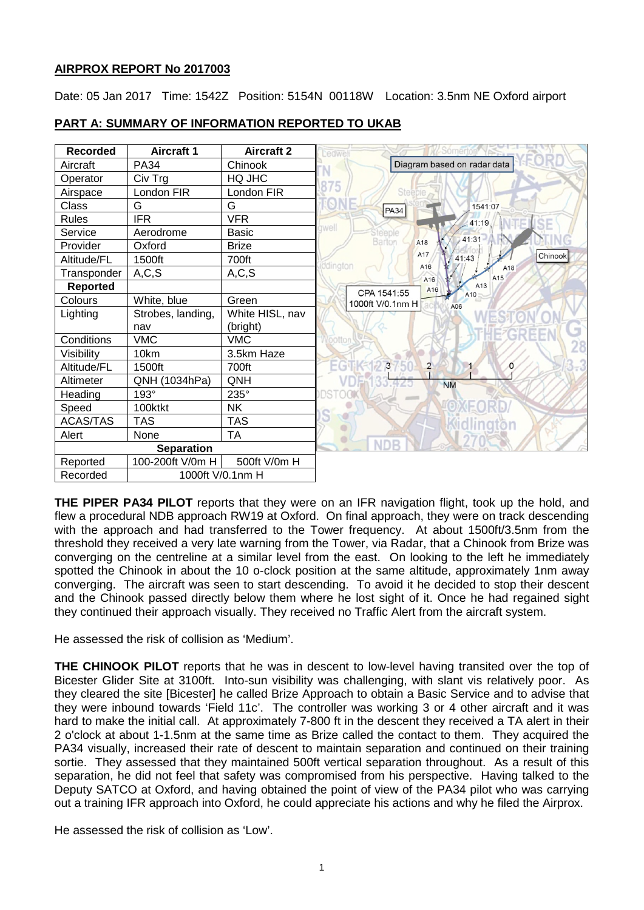# **AIRPROX REPORT No 2017003**

Date: 05 Jan 2017 Time: 1542Z Position: 5154N 00118W Location: 3.5nm NE Oxford airport



# **PART A: SUMMARY OF INFORMATION REPORTED TO UKAB**

**THE PIPER PA34 PILOT** reports that they were on an IFR navigation flight, took up the hold, and flew a procedural NDB approach RW19 at Oxford. On final approach, they were on track descending with the approach and had transferred to the Tower frequency. At about 1500ft/3.5nm from the threshold they received a very late warning from the Tower, via Radar, that a Chinook from Brize was converging on the centreline at a similar level from the east. On looking to the left he immediately spotted the Chinook in about the 10 o-clock position at the same altitude, approximately 1nm away converging. The aircraft was seen to start descending. To avoid it he decided to stop their descent and the Chinook passed directly below them where he lost sight of it. Once he had regained sight they continued their approach visually. They received no Traffic Alert from the aircraft system.

He assessed the risk of collision as 'Medium'.

**THE CHINOOK PILOT** reports that he was in descent to low-level having transited over the top of Bicester Glider Site at 3100ft. Into-sun visibility was challenging, with slant vis relatively poor. As they cleared the site [Bicester] he called Brize Approach to obtain a Basic Service and to advise that they were inbound towards 'Field 11c'. The controller was working 3 or 4 other aircraft and it was hard to make the initial call. At approximately 7-800 ft in the descent they received a TA alert in their 2 o'clock at about 1-1.5nm at the same time as Brize called the contact to them. They acquired the PA34 visually, increased their rate of descent to maintain separation and continued on their training sortie. They assessed that they maintained 500ft vertical separation throughout. As a result of this separation, he did not feel that safety was compromised from his perspective. Having talked to the Deputy SATCO at Oxford, and having obtained the point of view of the PA34 pilot who was carrying out a training IFR approach into Oxford, he could appreciate his actions and why he filed the Airprox.

He assessed the risk of collision as 'Low'.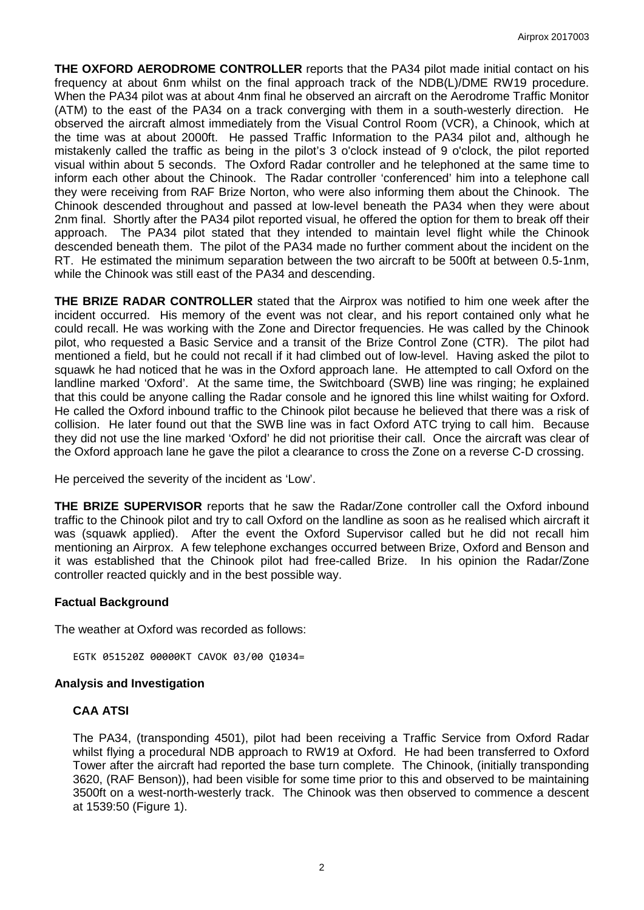**THE OXFORD AERODROME CONTROLLER** reports that the PA34 pilot made initial contact on his frequency at about 6nm whilst on the final approach track of the NDB(L)/DME RW19 procedure. When the PA34 pilot was at about 4nm final he observed an aircraft on the Aerodrome Traffic Monitor (ATM) to the east of the PA34 on a track converging with them in a south-westerly direction. He observed the aircraft almost immediately from the Visual Control Room (VCR), a Chinook, which at the time was at about 2000ft. He passed Traffic Information to the PA34 pilot and, although he mistakenly called the traffic as being in the pilot's 3 o'clock instead of 9 o'clock, the pilot reported visual within about 5 seconds. The Oxford Radar controller and he telephoned at the same time to inform each other about the Chinook. The Radar controller 'conferenced' him into a telephone call they were receiving from RAF Brize Norton, who were also informing them about the Chinook. The Chinook descended throughout and passed at low-level beneath the PA34 when they were about 2nm final. Shortly after the PA34 pilot reported visual, he offered the option for them to break off their approach. The PA34 pilot stated that they intended to maintain level flight while the Chinook descended beneath them. The pilot of the PA34 made no further comment about the incident on the RT. He estimated the minimum separation between the two aircraft to be 500ft at between 0.5-1nm, while the Chinook was still east of the PA34 and descending.

**THE BRIZE RADAR CONTROLLER** stated that the Airprox was notified to him one week after the incident occurred. His memory of the event was not clear, and his report contained only what he could recall. He was working with the Zone and Director frequencies. He was called by the Chinook pilot, who requested a Basic Service and a transit of the Brize Control Zone (CTR). The pilot had mentioned a field, but he could not recall if it had climbed out of low-level. Having asked the pilot to squawk he had noticed that he was in the Oxford approach lane. He attempted to call Oxford on the landline marked 'Oxford'. At the same time, the Switchboard (SWB) line was ringing; he explained that this could be anyone calling the Radar console and he ignored this line whilst waiting for Oxford. He called the Oxford inbound traffic to the Chinook pilot because he believed that there was a risk of collision. He later found out that the SWB line was in fact Oxford ATC trying to call him. Because they did not use the line marked 'Oxford' he did not prioritise their call. Once the aircraft was clear of the Oxford approach lane he gave the pilot a clearance to cross the Zone on a reverse C-D crossing.

He perceived the severity of the incident as 'Low'.

**THE BRIZE SUPERVISOR** reports that he saw the Radar/Zone controller call the Oxford inbound traffic to the Chinook pilot and try to call Oxford on the landline as soon as he realised which aircraft it was (squawk applied). After the event the Oxford Supervisor called but he did not recall him mentioning an Airprox. A few telephone exchanges occurred between Brize, Oxford and Benson and it was established that the Chinook pilot had free-called Brize. In his opinion the Radar/Zone controller reacted quickly and in the best possible way.

# **Factual Background**

The weather at Oxford was recorded as follows:

EGTK 051520Z 00000KT CAVOK 03/00 Q1034=

#### **Analysis and Investigation**

#### **CAA ATSI**

The PA34, (transponding 4501), pilot had been receiving a Traffic Service from Oxford Radar whilst flying a procedural NDB approach to RW19 at Oxford. He had been transferred to Oxford Tower after the aircraft had reported the base turn complete. The Chinook, (initially transponding 3620, (RAF Benson)), had been visible for some time prior to this and observed to be maintaining 3500ft on a west-north-westerly track. The Chinook was then observed to commence a descent at 1539:50 (Figure 1).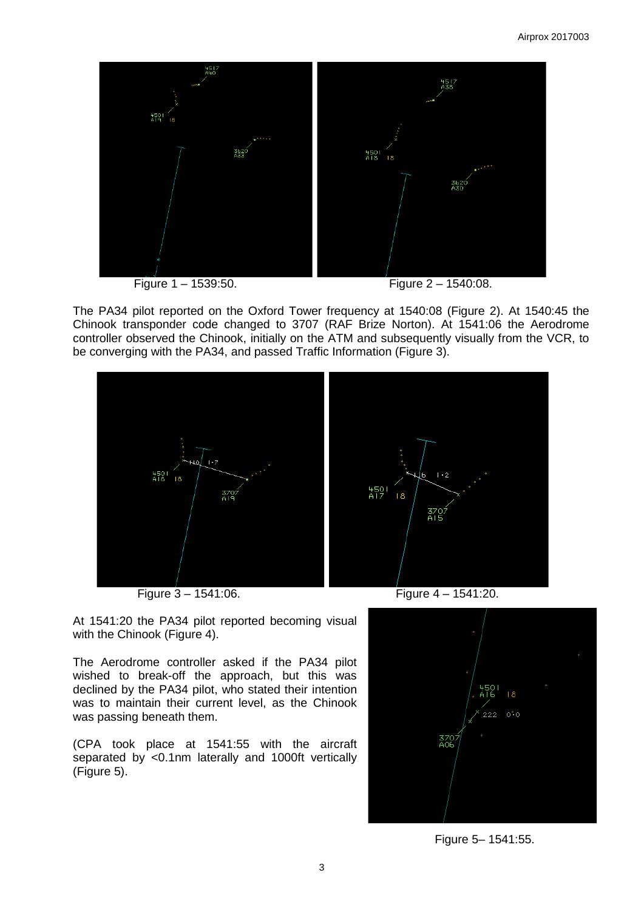





The PA34 pilot reported on the Oxford Tower frequency at 1540:08 (Figure 2). At 1540:45 the Chinook transponder code changed to 3707 (RAF Brize Norton). At 1541:06 the Aerodrome controller observed the Chinook, initially on the ATM and subsequently visually from the VCR, to be converging with the PA34, and passed Traffic Information (Figure 3).



At 1541:20 the PA34 pilot reported becoming visual with the Chinook (Figure 4).

The Aerodrome controller asked if the PA34 pilot wished to break-off the approach, but this was declined by the PA34 pilot, who stated their intention was to maintain their current level, as the Chinook was passing beneath them.

(CPA took place at 1541:55 with the aircraft separated by <0.1nm laterally and 1000ft vertically (Figure 5).



Figure 5– 1541:55.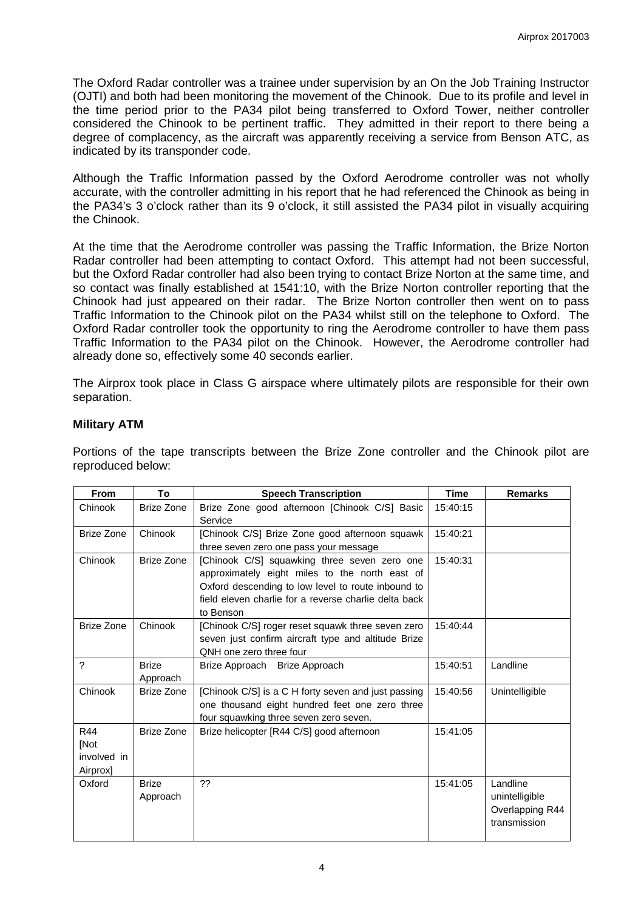The Oxford Radar controller was a trainee under supervision by an On the Job Training Instructor (OJTI) and both had been monitoring the movement of the Chinook. Due to its profile and level in the time period prior to the PA34 pilot being transferred to Oxford Tower, neither controller considered the Chinook to be pertinent traffic. They admitted in their report to there being a degree of complacency, as the aircraft was apparently receiving a service from Benson ATC, as indicated by its transponder code.

Although the Traffic Information passed by the Oxford Aerodrome controller was not wholly accurate, with the controller admitting in his report that he had referenced the Chinook as being in the PA34's 3 o'clock rather than its 9 o'clock, it still assisted the PA34 pilot in visually acquiring the Chinook.

At the time that the Aerodrome controller was passing the Traffic Information, the Brize Norton Radar controller had been attempting to contact Oxford. This attempt had not been successful, but the Oxford Radar controller had also been trying to contact Brize Norton at the same time, and so contact was finally established at 1541:10, with the Brize Norton controller reporting that the Chinook had just appeared on their radar. The Brize Norton controller then went on to pass Traffic Information to the Chinook pilot on the PA34 whilst still on the telephone to Oxford. The Oxford Radar controller took the opportunity to ring the Aerodrome controller to have them pass Traffic Information to the PA34 pilot on the Chinook. However, the Aerodrome controller had already done so, effectively some 40 seconds earlier.

The Airprox took place in Class G airspace where ultimately pilots are responsible for their own separation.

### **Military ATM**

Portions of the tape transcripts between the Brize Zone controller and the Chinook pilot are reproduced below:

| <b>From</b>                            | To                       | <b>Speech Transcription</b>                                                                                                                                                                                                | <b>Time</b> | <b>Remarks</b>                                                |
|----------------------------------------|--------------------------|----------------------------------------------------------------------------------------------------------------------------------------------------------------------------------------------------------------------------|-------------|---------------------------------------------------------------|
| Chinook                                | <b>Brize Zone</b>        | Brize Zone good afternoon [Chinook C/S] Basic<br>Service                                                                                                                                                                   | 15:40:15    |                                                               |
| Brize Zone                             | Chinook                  | [Chinook C/S] Brize Zone good afternoon squawk<br>three seven zero one pass your message                                                                                                                                   | 15:40:21    |                                                               |
| Chinook                                | <b>Brize Zone</b>        | [Chinook C/S] squawking three seven zero one<br>approximately eight miles to the north east of<br>Oxford descending to low level to route inbound to<br>field eleven charlie for a reverse charlie delta back<br>to Benson | 15:40:31    |                                                               |
| <b>Brize Zone</b>                      | Chinook                  | [Chinook C/S] roger reset squawk three seven zero<br>seven just confirm aircraft type and altitude Brize<br>QNH one zero three four                                                                                        | 15:40:44    |                                                               |
| $\overline{\phantom{0}}$               | <b>Brize</b><br>Approach | Brize Approach Brize Approach                                                                                                                                                                                              | 15:40:51    | Landline                                                      |
| Chinook                                | Brize Zone               | [Chinook C/S] is a C H forty seven and just passing<br>one thousand eight hundred feet one zero three<br>four squawking three seven zero seven.                                                                            | 15:40:56    | Unintelligible                                                |
| R44<br>[Not<br>involved in<br>Airprox] | <b>Brize Zone</b>        | Brize helicopter [R44 C/S] good afternoon                                                                                                                                                                                  | 15:41:05    |                                                               |
| Oxford                                 | <b>Brize</b><br>Approach | ??                                                                                                                                                                                                                         | 15:41:05    | Landline<br>unintelligible<br>Overlapping R44<br>transmission |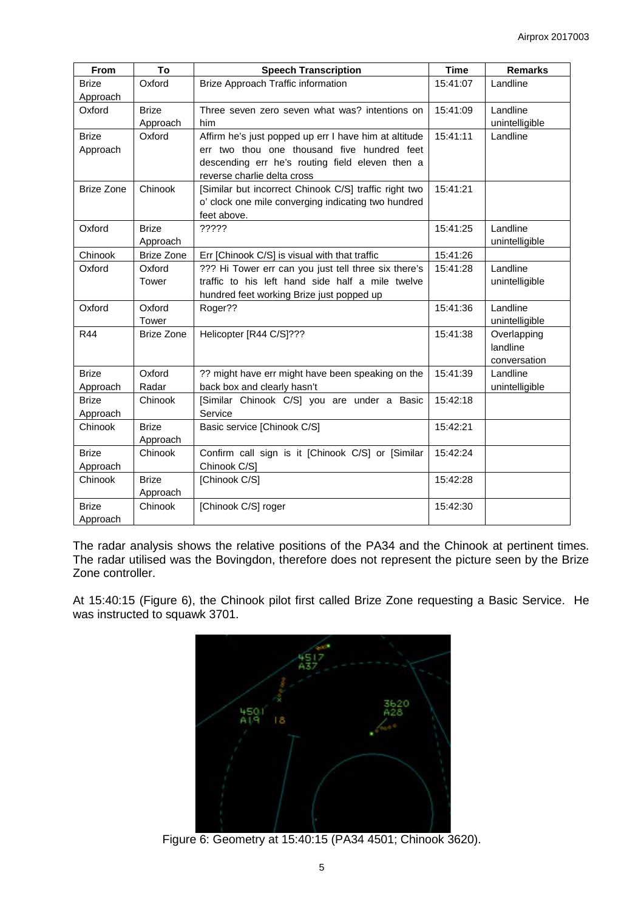| <b>From</b>       | To                | <b>Speech Transcription</b>                           | <b>Time</b> | <b>Remarks</b>                |
|-------------------|-------------------|-------------------------------------------------------|-------------|-------------------------------|
| <b>Brize</b>      | Oxford            | Brize Approach Traffic information                    | 15:41:07    | Landline                      |
| Approach          |                   |                                                       |             |                               |
| Oxford            | <b>Brize</b>      | Three seven zero seven what was? intentions on        | 15:41:09    | Landline                      |
|                   | Approach          | him                                                   |             | unintelligible                |
| <b>Brize</b>      | Oxford            | Affirm he's just popped up err I have him at altitude | 15:41:11    | Landline                      |
| Approach          |                   | err two thou one thousand five hundred feet           |             |                               |
|                   |                   | descending err he's routing field eleven then a       |             |                               |
|                   |                   | reverse charlie delta cross                           |             |                               |
| <b>Brize Zone</b> | Chinook           | [Similar but incorrect Chinook C/S] traffic right two | 15:41:21    |                               |
|                   |                   | o' clock one mile converging indicating two hundred   |             |                               |
|                   |                   | feet above.                                           |             |                               |
| Oxford            | <b>Brize</b>      | ?????                                                 | 15:41:25    | Landline                      |
|                   | Approach          |                                                       |             | unintelligible                |
| Chinook           | <b>Brize Zone</b> | Err [Chinook C/S] is visual with that traffic         | 15:41:26    |                               |
| Oxford            | Oxford            | ??? Hi Tower err can you just tell three six there's  | 15:41:28    | Landline                      |
|                   | Tower             | traffic to his left hand side half a mile twelve      |             | unintelligible                |
|                   |                   | hundred feet working Brize just popped up             |             |                               |
| Oxford            | Oxford<br>Tower   | Roger??                                               | 15:41:36    | Landline                      |
| R44               | <b>Brize Zone</b> | Helicopter [R44 C/S]???                               | 15:41:38    | unintelligible<br>Overlapping |
|                   |                   |                                                       |             | landline                      |
|                   |                   |                                                       |             | conversation                  |
| <b>Brize</b>      | Oxford            | ?? might have err might have been speaking on the     | 15:41:39    | Landline                      |
| Approach          | Radar             | back box and clearly hasn't                           |             | unintelligible                |
| <b>Brize</b>      | Chinook           | [Similar Chinook C/S] you are under a Basic           | 15:42:18    |                               |
| Approach          |                   | Service                                               |             |                               |
| Chinook           | <b>Brize</b>      | Basic service [Chinook C/S]                           | 15:42:21    |                               |
|                   | Approach          |                                                       |             |                               |
| <b>Brize</b>      | Chinook           | Confirm call sign is it [Chinook C/S] or [Similar     | 15:42:24    |                               |
| Approach          |                   | Chinook C/S]                                          |             |                               |
| Chinook           | <b>Brize</b>      | [Chinook C/S]                                         | 15:42:28    |                               |
|                   | Approach          |                                                       |             |                               |
| <b>Brize</b>      | Chinook           | [Chinook C/S] roger                                   | 15:42:30    |                               |
| Approach          |                   |                                                       |             |                               |

The radar analysis shows the relative positions of the PA34 and the Chinook at pertinent times. The radar utilised was the Bovingdon, therefore does not represent the picture seen by the Brize Zone controller.

At 15:40:15 (Figure 6), the Chinook pilot first called Brize Zone requesting a Basic Service. He was instructed to squawk 3701.



Figure 6: Geometry at 15:40:15 (PA34 4501; Chinook 3620).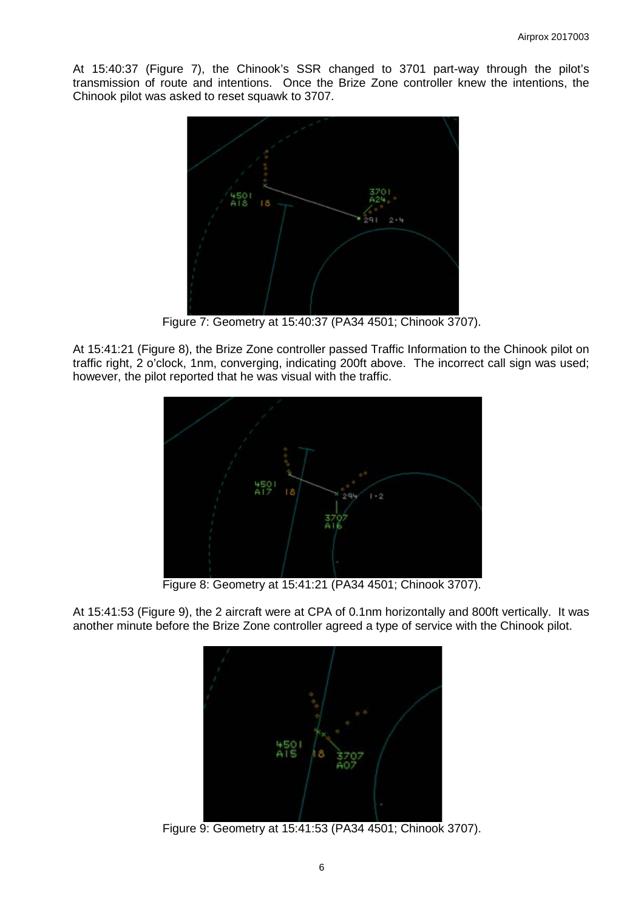At 15:40:37 (Figure 7), the Chinook's SSR changed to 3701 part-way through the pilot's transmission of route and intentions. Once the Brize Zone controller knew the intentions, the Chinook pilot was asked to reset squawk to 3707.



Figure 7: Geometry at 15:40:37 (PA34 4501; Chinook 3707).

At 15:41:21 (Figure 8), the Brize Zone controller passed Traffic Information to the Chinook pilot on traffic right, 2 o'clock, 1nm, converging, indicating 200ft above. The incorrect call sign was used; however, the pilot reported that he was visual with the traffic.



Figure 8: Geometry at 15:41:21 (PA34 4501; Chinook 3707).

At 15:41:53 (Figure 9), the 2 aircraft were at CPA of 0.1nm horizontally and 800ft vertically. It was another minute before the Brize Zone controller agreed a type of service with the Chinook pilot.



Figure 9: Geometry at 15:41:53 (PA34 4501; Chinook 3707).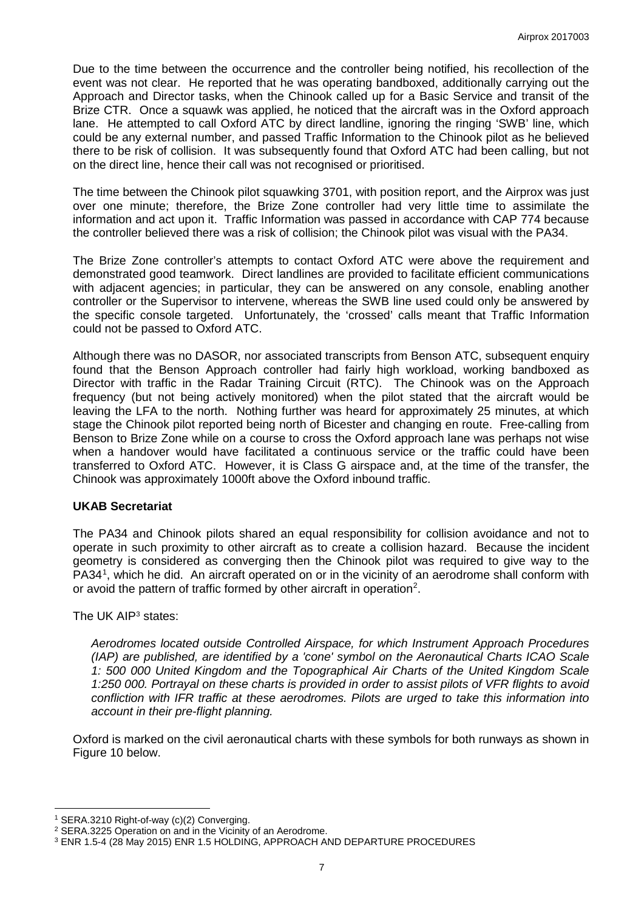Due to the time between the occurrence and the controller being notified, his recollection of the event was not clear. He reported that he was operating bandboxed, additionally carrying out the Approach and Director tasks, when the Chinook called up for a Basic Service and transit of the Brize CTR. Once a squawk was applied, he noticed that the aircraft was in the Oxford approach lane. He attempted to call Oxford ATC by direct landline, ignoring the ringing 'SWB' line, which could be any external number, and passed Traffic Information to the Chinook pilot as he believed there to be risk of collision. It was subsequently found that Oxford ATC had been calling, but not on the direct line, hence their call was not recognised or prioritised.

The time between the Chinook pilot squawking 3701, with position report, and the Airprox was just over one minute; therefore, the Brize Zone controller had very little time to assimilate the information and act upon it. Traffic Information was passed in accordance with CAP 774 because the controller believed there was a risk of collision; the Chinook pilot was visual with the PA34.

The Brize Zone controller's attempts to contact Oxford ATC were above the requirement and demonstrated good teamwork. Direct landlines are provided to facilitate efficient communications with adjacent agencies; in particular, they can be answered on any console, enabling another controller or the Supervisor to intervene, whereas the SWB line used could only be answered by the specific console targeted. Unfortunately, the 'crossed' calls meant that Traffic Information could not be passed to Oxford ATC.

Although there was no DASOR, nor associated transcripts from Benson ATC, subsequent enquiry found that the Benson Approach controller had fairly high workload, working bandboxed as Director with traffic in the Radar Training Circuit (RTC). The Chinook was on the Approach frequency (but not being actively monitored) when the pilot stated that the aircraft would be leaving the LFA to the north. Nothing further was heard for approximately 25 minutes, at which stage the Chinook pilot reported being north of Bicester and changing en route. Free-calling from Benson to Brize Zone while on a course to cross the Oxford approach lane was perhaps not wise when a handover would have facilitated a continuous service or the traffic could have been transferred to Oxford ATC. However, it is Class G airspace and, at the time of the transfer, the Chinook was approximately 1000ft above the Oxford inbound traffic.

#### **UKAB Secretariat**

The PA34 and Chinook pilots shared an equal responsibility for collision avoidance and not to operate in such proximity to other aircraft as to create a collision hazard. Because the incident geometry is considered as converging then the Chinook pilot was required to give way to the PA34<sup>[1](#page-6-0)</sup>, which he did. An aircraft operated on or in the vicinity of an aerodrome shall conform with or avoid the pattern of traffic formed by other aircraft in operation<sup>[2](#page-6-1)</sup>.

#### The UK AIP[3](#page-6-2) states:

*Aerodromes located outside Controlled Airspace, for which Instrument Approach Procedures (IAP) are published, are identified by a 'cone' symbol on the Aeronautical Charts ICAO Scale 1: 500 000 United Kingdom and the Topographical Air Charts of the United Kingdom Scale 1:250 000. Portrayal on these charts is provided in order to assist pilots of VFR flights to avoid confliction with IFR traffic at these aerodromes. Pilots are urged to take this information into account in their pre-flight planning.*

Oxford is marked on the civil aeronautical charts with these symbols for both runways as shown in Figure 10 below.

 $\overline{\phantom{a}}$ 

<span id="page-6-0"></span><sup>1</sup> SERA.3210 Right-of-way (c)(2) Converging.

<span id="page-6-1"></span><sup>2</sup> SERA.3225 Operation on and in the Vicinity of an Aerodrome.

<span id="page-6-2"></span><sup>3</sup> ENR 1.5-4 (28 May 2015) ENR 1.5 HOLDING, APPROACH AND DEPARTURE PROCEDURES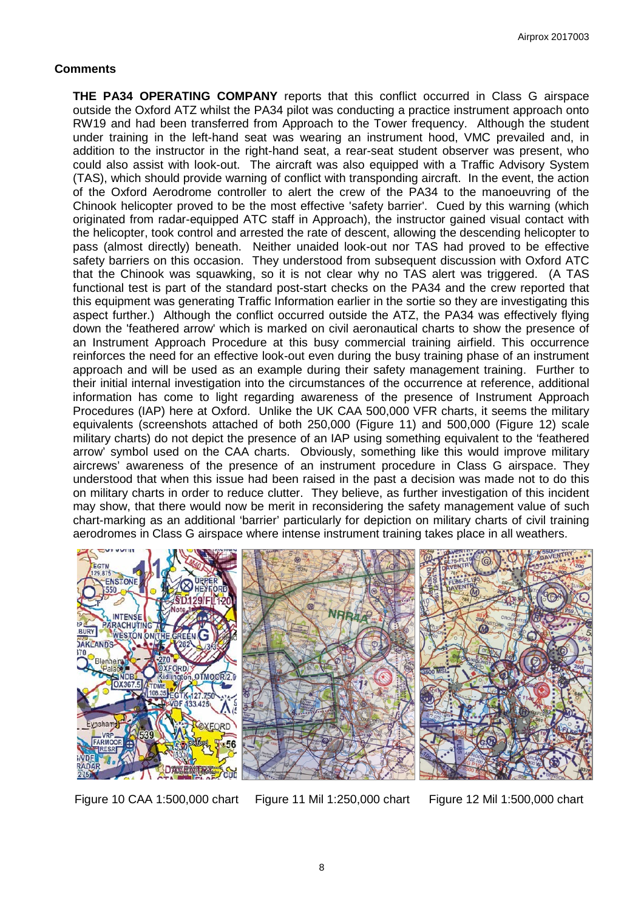### **Comments**

**THE PA34 OPERATING COMPANY** reports that this conflict occurred in Class G airspace outside the Oxford ATZ whilst the PA34 pilot was conducting a practice instrument approach onto RW19 and had been transferred from Approach to the Tower frequency. Although the student under training in the left-hand seat was wearing an instrument hood, VMC prevailed and, in addition to the instructor in the right-hand seat, a rear-seat student observer was present, who could also assist with look-out. The aircraft was also equipped with a Traffic Advisory System (TAS), which should provide warning of conflict with transponding aircraft. In the event, the action of the Oxford Aerodrome controller to alert the crew of the PA34 to the manoeuvring of the Chinook helicopter proved to be the most effective 'safety barrier'. Cued by this warning (which originated from radar-equipped ATC staff in Approach), the instructor gained visual contact with the helicopter, took control and arrested the rate of descent, allowing the descending helicopter to pass (almost directly) beneath. Neither unaided look-out nor TAS had proved to be effective safety barriers on this occasion. They understood from subsequent discussion with Oxford ATC that the Chinook was squawking, so it is not clear why no TAS alert was triggered. (A TAS functional test is part of the standard post-start checks on the PA34 and the crew reported that this equipment was generating Traffic Information earlier in the sortie so they are investigating this aspect further.) Although the conflict occurred outside the ATZ, the PA34 was effectively flying down the 'feathered arrow' which is marked on civil aeronautical charts to show the presence of an Instrument Approach Procedure at this busy commercial training airfield. This occurrence reinforces the need for an effective look-out even during the busy training phase of an instrument approach and will be used as an example during their safety management training. Further to their initial internal investigation into the circumstances of the occurrence at reference, additional information has come to light regarding awareness of the presence of Instrument Approach Procedures (IAP) here at Oxford. Unlike the UK CAA 500,000 VFR charts, it seems the military equivalents (screenshots attached of both 250,000 (Figure 11) and 500,000 (Figure 12) scale military charts) do not depict the presence of an IAP using something equivalent to the 'feathered arrow' symbol used on the CAA charts. Obviously, something like this would improve military aircrews' awareness of the presence of an instrument procedure in Class G airspace. They understood that when this issue had been raised in the past a decision was made not to do this on military charts in order to reduce clutter. They believe, as further investigation of this incident may show, that there would now be merit in reconsidering the safety management value of such chart-marking as an additional 'barrier' particularly for depiction on military charts of civil training aerodromes in Class G airspace where intense instrument training takes place in all weathers.



Figure 10 CAA 1:500,000 chart Figure 11 Mil 1:250,000 chart Figure 12 Mil 1:500,000 chart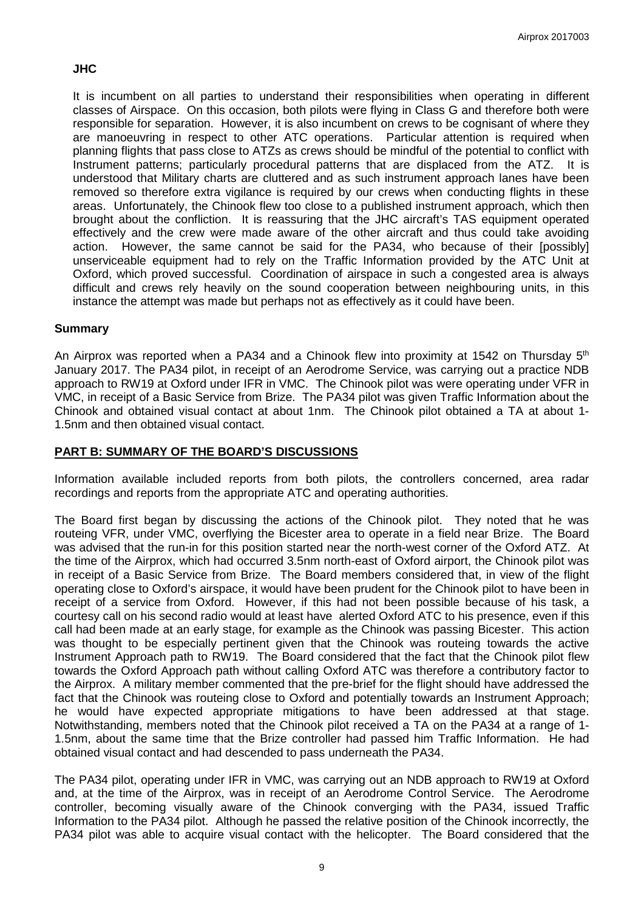# **JHC**

It is incumbent on all parties to understand their responsibilities when operating in different classes of Airspace. On this occasion, both pilots were flying in Class G and therefore both were responsible for separation. However, it is also incumbent on crews to be cognisant of where they are manoeuvring in respect to other ATC operations. Particular attention is required when planning flights that pass close to ATZs as crews should be mindful of the potential to conflict with Instrument patterns; particularly procedural patterns that are displaced from the ATZ. It is understood that Military charts are cluttered and as such instrument approach lanes have been removed so therefore extra vigilance is required by our crews when conducting flights in these areas. Unfortunately, the Chinook flew too close to a published instrument approach, which then brought about the confliction. It is reassuring that the JHC aircraft's TAS equipment operated effectively and the crew were made aware of the other aircraft and thus could take avoiding action. However, the same cannot be said for the PA34, who because of their [possibly] unserviceable equipment had to rely on the Traffic Information provided by the ATC Unit at Oxford, which proved successful. Coordination of airspace in such a congested area is always difficult and crews rely heavily on the sound cooperation between neighbouring units, in this instance the attempt was made but perhaps not as effectively as it could have been.

# **Summary**

An Airprox was reported when a PA34 and a Chinook flew into proximity at 1542 on Thursday 5<sup>th</sup> January 2017. The PA34 pilot, in receipt of an Aerodrome Service, was carrying out a practice NDB approach to RW19 at Oxford under IFR in VMC. The Chinook pilot was were operating under VFR in VMC, in receipt of a Basic Service from Brize. The PA34 pilot was given Traffic Information about the Chinook and obtained visual contact at about 1nm. The Chinook pilot obtained a TA at about 1- 1.5nm and then obtained visual contact.

### **PART B: SUMMARY OF THE BOARD'S DISCUSSIONS**

Information available included reports from both pilots, the controllers concerned, area radar recordings and reports from the appropriate ATC and operating authorities.

The Board first began by discussing the actions of the Chinook pilot. They noted that he was routeing VFR, under VMC, overflying the Bicester area to operate in a field near Brize. The Board was advised that the run-in for this position started near the north-west corner of the Oxford ATZ. At the time of the Airprox, which had occurred 3.5nm north-east of Oxford airport, the Chinook pilot was in receipt of a Basic Service from Brize. The Board members considered that, in view of the flight operating close to Oxford's airspace, it would have been prudent for the Chinook pilot to have been in receipt of a service from Oxford. However, if this had not been possible because of his task, a courtesy call on his second radio would at least have alerted Oxford ATC to his presence, even if this call had been made at an early stage, for example as the Chinook was passing Bicester. This action was thought to be especially pertinent given that the Chinook was routeing towards the active Instrument Approach path to RW19. The Board considered that the fact that the Chinook pilot flew towards the Oxford Approach path without calling Oxford ATC was therefore a contributory factor to the Airprox. A military member commented that the pre-brief for the flight should have addressed the fact that the Chinook was routeing close to Oxford and potentially towards an Instrument Approach; he would have expected appropriate mitigations to have been addressed at that stage. Notwithstanding, members noted that the Chinook pilot received a TA on the PA34 at a range of 1- 1.5nm, about the same time that the Brize controller had passed him Traffic Information. He had obtained visual contact and had descended to pass underneath the PA34.

The PA34 pilot, operating under IFR in VMC, was carrying out an NDB approach to RW19 at Oxford and, at the time of the Airprox, was in receipt of an Aerodrome Control Service. The Aerodrome controller, becoming visually aware of the Chinook converging with the PA34, issued Traffic Information to the PA34 pilot. Although he passed the relative position of the Chinook incorrectly, the PA34 pilot was able to acquire visual contact with the helicopter. The Board considered that the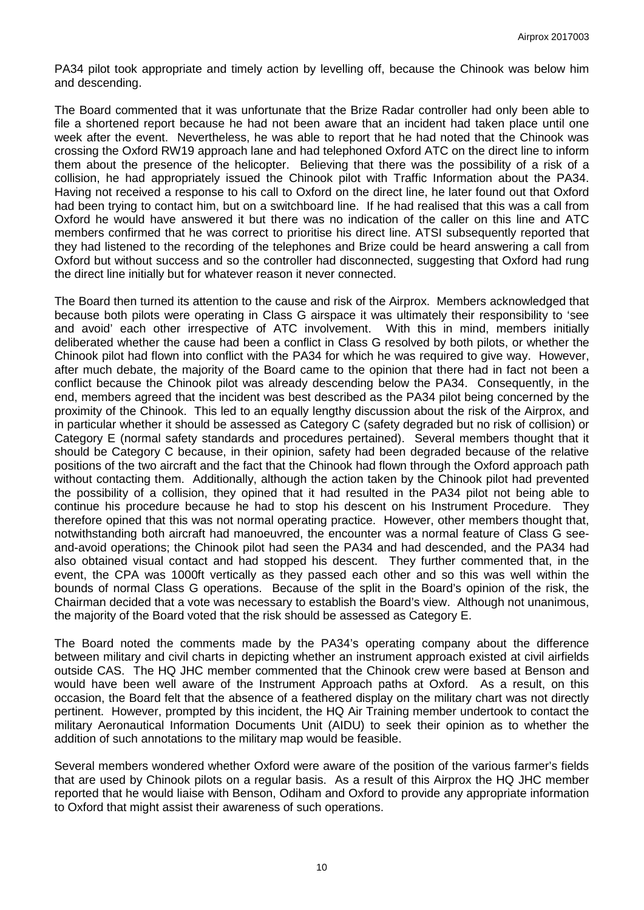PA34 pilot took appropriate and timely action by levelling off, because the Chinook was below him and descending.

The Board commented that it was unfortunate that the Brize Radar controller had only been able to file a shortened report because he had not been aware that an incident had taken place until one week after the event. Nevertheless, he was able to report that he had noted that the Chinook was crossing the Oxford RW19 approach lane and had telephoned Oxford ATC on the direct line to inform them about the presence of the helicopter. Believing that there was the possibility of a risk of a collision, he had appropriately issued the Chinook pilot with Traffic Information about the PA34. Having not received a response to his call to Oxford on the direct line, he later found out that Oxford had been trying to contact him, but on a switchboard line. If he had realised that this was a call from Oxford he would have answered it but there was no indication of the caller on this line and ATC members confirmed that he was correct to prioritise his direct line. ATSI subsequently reported that they had listened to the recording of the telephones and Brize could be heard answering a call from Oxford but without success and so the controller had disconnected, suggesting that Oxford had rung the direct line initially but for whatever reason it never connected.

The Board then turned its attention to the cause and risk of the Airprox. Members acknowledged that because both pilots were operating in Class G airspace it was ultimately their responsibility to 'see and avoid' each other irrespective of ATC involvement. With this in mind, members initially deliberated whether the cause had been a conflict in Class G resolved by both pilots, or whether the Chinook pilot had flown into conflict with the PA34 for which he was required to give way. However, after much debate, the majority of the Board came to the opinion that there had in fact not been a conflict because the Chinook pilot was already descending below the PA34. Consequently, in the end, members agreed that the incident was best described as the PA34 pilot being concerned by the proximity of the Chinook. This led to an equally lengthy discussion about the risk of the Airprox, and in particular whether it should be assessed as Category C (safety degraded but no risk of collision) or Category E (normal safety standards and procedures pertained). Several members thought that it should be Category C because, in their opinion, safety had been degraded because of the relative positions of the two aircraft and the fact that the Chinook had flown through the Oxford approach path without contacting them. Additionally, although the action taken by the Chinook pilot had prevented the possibility of a collision, they opined that it had resulted in the PA34 pilot not being able to continue his procedure because he had to stop his descent on his Instrument Procedure. They therefore opined that this was not normal operating practice. However, other members thought that, notwithstanding both aircraft had manoeuvred, the encounter was a normal feature of Class G seeand-avoid operations; the Chinook pilot had seen the PA34 and had descended, and the PA34 had also obtained visual contact and had stopped his descent. They further commented that, in the event, the CPA was 1000ft vertically as they passed each other and so this was well within the bounds of normal Class G operations. Because of the split in the Board's opinion of the risk, the Chairman decided that a vote was necessary to establish the Board's view. Although not unanimous, the majority of the Board voted that the risk should be assessed as Category E.

The Board noted the comments made by the PA34's operating company about the difference between military and civil charts in depicting whether an instrument approach existed at civil airfields outside CAS. The HQ JHC member commented that the Chinook crew were based at Benson and would have been well aware of the Instrument Approach paths at Oxford. As a result, on this occasion, the Board felt that the absence of a feathered display on the military chart was not directly pertinent. However, prompted by this incident, the HQ Air Training member undertook to contact the military Aeronautical Information Documents Unit (AIDU) to seek their opinion as to whether the addition of such annotations to the military map would be feasible.

Several members wondered whether Oxford were aware of the position of the various farmer's fields that are used by Chinook pilots on a regular basis. As a result of this Airprox the HQ JHC member reported that he would liaise with Benson, Odiham and Oxford to provide any appropriate information to Oxford that might assist their awareness of such operations.